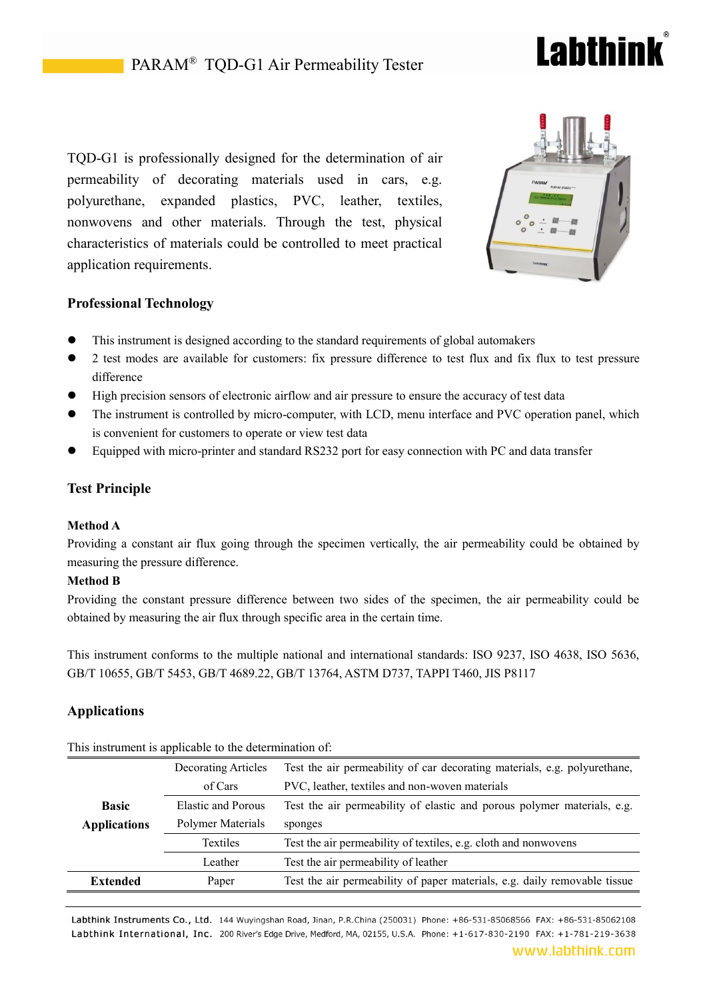# Lahthin

TQD-G1 is professionally designed for the determination of air permeability of decorating materials used in cars, e.g. polyurethane, expanded plastics, PVC, leather, textiles, nonwovens and other materials. Through the test, physical characteristics of materials could be controlled to meet practical application requirements.



## **Professional Technology**

- This instrument is designed according to the standard requirements of global automakers
- 2 test modes are available for customers: fix pressure difference to test flux and fix flux to test pressure difference
- High precision sensors of electronic airflow and air pressure to ensure the accuracy of test data
- The instrument is controlled by micro-computer, with LCD, menu interface and PVC operation panel, which is convenient for customers to operate or view test data
- Equipped with micro-printer and standard RS232 port for easy connection with PC and data transfer

## **Test Principle**

#### **Method A**

Providing a constant air flux going through the specimen vertically, the air permeability could be obtained by measuring the pressure difference.

### **Method B**

Providing the constant pressure difference between two sides of the specimen, the air permeability could be obtained by measuring the air flux through specific area in the certain time.

This instrument conforms to the multiple national and international standards: ISO 9237, ISO 4638, ISO 5636, GB/T 10655, GB/T 5453, GB/T 4689.22, GB/T 13764, ASTM D737, TAPPI T460, JIS P8117

## **Applications**

| This modulation is applicable to the actemnition of. |                     |                                                                           |  |
|------------------------------------------------------|---------------------|---------------------------------------------------------------------------|--|
|                                                      | Decorating Articles | Test the air permeability of car decorating materials, e.g. polyurethane, |  |
|                                                      | of Cars             | PVC, leather, textiles and non-woven materials                            |  |
| <b>Basic</b>                                         | Elastic and Porous  | Test the air permeability of elastic and porous polymer materials, e.g.   |  |
| <b>Applications</b>                                  | Polymer Materials   | sponges                                                                   |  |
|                                                      | Textiles            | Test the air permeability of textiles, e.g. cloth and nonwovens           |  |
|                                                      | Leather             | Test the air permeability of leather                                      |  |
| <b>Extended</b>                                      | Paper               | Test the air permeability of paper materials, e.g. daily removable tissue |  |
|                                                      |                     |                                                                           |  |

This instrument is applicable to the determination of

Labthink Instruments Co., Ltd. 144 Wuyingshan Road, Jinan, P.R.China (250031) Phone: +86-531-85068566 FAX: +86-531-85062108 Labthink International, Inc. 200 River's Edge Drive, Medford, MA, 02155, U.S.A. Phone: +1-617-830-2190 FAX: +1-781-219-3638